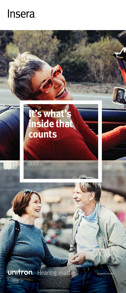# Insera.



**unitron** Hearing matters

nova br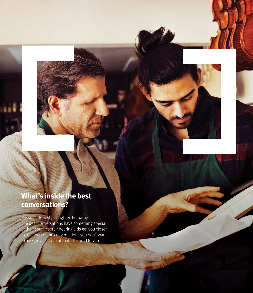# **What's inside the best conversations?**

Passion. Honesty. Laughter. Empathy. The best conversations have something special at their core. Insera™ hearing aids get you closer to the heart of the conversations you don't want to miss, in a custom fit that's tailored to you.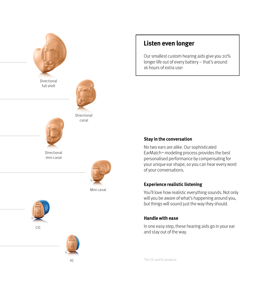

Directional full shell

> Directional mini canal



canal



Mini canal





 $IIC$ 

### **Listen even longer**

Our smallest custom hearing aids give you 20% longer life out of every battery – that's around 16 hours of extra use.\*

#### **Stay in the conversation**

No two ears are alike. Our sophisticated EarMatch™ modeling process provides the best personalised performance by compensating for your unique ear shape, so you can hear every word of your conversations.

#### **Experience realistic listening**

You'll love how realistic everything sounds. Not only will you be aware of what's happening around you, but things will sound just the way they should.

#### **Handle with ease**

In one easy step, these hearing aids go in your ear and stay out of the way.

\*On CIC and IIC products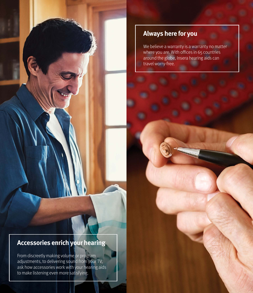### **Always here for you**

We believe a warranty is a warranty no matter where you are. With offices in 65 countries around the globe, Insera hearing aids can travel worry-free.

## **Accessories enrich your hearing**

From discreetly making volume or program adjustments, to delivering sound from your TV, ask how accessories work with your hearing aids to make listening even more satisfying.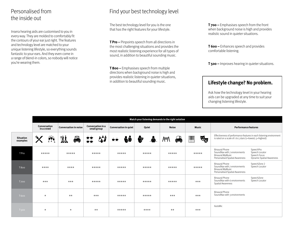# Personalised from the inside out

Insera hearing aids are customised to you in every way. They are molded to comfortably fit the contours of your ear just right. The features and technology level are matched to your unique listening lifestyle, so everything sounds fantastic to your ears. And they even come in a range of blend-in colors, so nobody will notice you're wearing them.

# Find your best technology level

The best technology level for you is the one that has the right features for your lifestyle.

**T Pro –** Pinpoints speech from all directions in the most challenging situations and provides the most realistic listening experience for all types of sound, in addition to beautiful sounding music.

**T 800 –** Emphasises speech from multiple directions when background noise is high and provides realistic listening in quieter situations, in addition to beautiful sounding music.

**T 700 –** Emphasises speech from the front when background noise is high and provides realistic sound in quieter situations.

**T 600 –** Enhances speech and provides comfortable listening.

**T 500 –** Improves hearing in quieter situations.

### **Lifestyle change? No problem.**

Ask how the technology level in your hearing aids can be upgraded at any time to suit your changing listening lifestyle.

|                              | Match your listening demands to the right solution  |                              |                                                                                |                              |                  |              |                                                                         |                                                                                                                                                                                         |
|------------------------------|-----------------------------------------------------|------------------------------|--------------------------------------------------------------------------------|------------------------------|------------------|--------------|-------------------------------------------------------------------------|-----------------------------------------------------------------------------------------------------------------------------------------------------------------------------------------|
|                              | Conversation<br>in a crowd                          | <b>Conversation in noise</b> | Conversation in a<br>small group                                               | <b>Conversation in quiet</b> | Quiet            | <b>Noise</b> | <b>Music</b>                                                            | <b>Performance features</b>                                                                                                                                                             |
| <b>Situation</b><br>examples | $f\hspace{-1.5pt}P\hspace{-1.5pt}P\hspace{-1.5pt}P$ | <b>iji</b><br>$\ddot{=}$     | 锑<br>$\begin{array}{c}\n\bullet \\ \bullet \\ \bullet \\ \bullet\n\end{array}$ | fý<br>∙                      | $\clubsuit$<br>₩ | ≜<br>W4\     | $\mathbf{F}_{\mathbf{S}}$<br>$\begin{bmatrix} \mathbf{H} \end{bmatrix}$ | Effectiveness of performance features in each listening environment<br>is rated on a scale of $1$ to $5$ stars ( $1$ =lowest; $5$ =highest).                                            |
| T Pro                        | *****                                               | *****                        | $***$ **                                                                       | *****                        | *****            | *****        | $***$ ***                                                               | SpeechPro<br><b>Binaural Phone</b><br>Speech Locator<br>SoundNav with 7 environments<br>Speech Focus<br>Binaural MyMusic<br>Dynamic Spatial Awareness<br>Personalised Spatial Awareness |
| <b>T800</b>                  | $***$                                               | $***$                        | $***$ **                                                                       | *****                        | *****            | *****        | $***$ ***                                                               | <b>Binaural Phone</b><br>SpeechZone 2<br>Speech Locator<br>SoundNav with 7 environments<br>Binaural MyMusic<br>Personalised Spatial Awareness                                           |
| <b>T700</b>                  | $***$                                               | $***$                        | $***$ **                                                                       | $***$ **                     | *****            | $***$ **     | $***$                                                                   | <b>Binaural Phone</b><br>SpeechZone<br>SoundNay with 6 environments<br>Speech Locator<br><b>Spatial Awareness</b>                                                                       |
| <b>T600</b>                  | $\star$                                             | $\star\star$                 | $***$                                                                          | *****                        | *****            | $***$        | $***$                                                                   | <b>Binaural Phone</b><br>SoundNav with 3 environments                                                                                                                                   |
| <b>T500</b>                  | $\star$                                             | $\star$                      | $***$                                                                          | *****                        | $***$ *          | $***$        | $***$                                                                   | AutoMic                                                                                                                                                                                 |